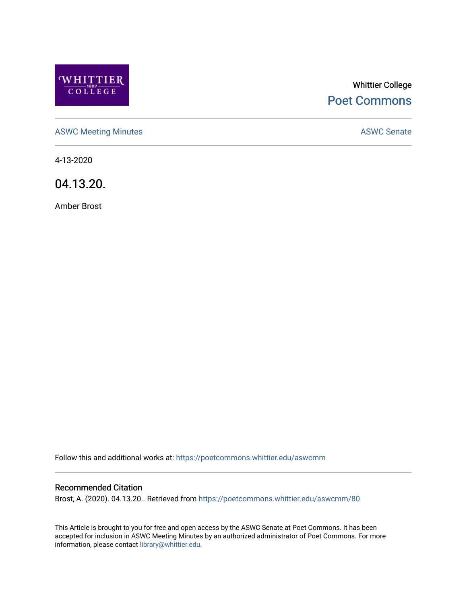

# Whittier College [Poet Commons](https://poetcommons.whittier.edu/)

[ASWC Meeting Minutes](https://poetcommons.whittier.edu/aswcmm) **ASWC Senate** 

4-13-2020

04.13.20.

Amber Brost

Follow this and additional works at: [https://poetcommons.whittier.edu/aswcmm](https://poetcommons.whittier.edu/aswcmm?utm_source=poetcommons.whittier.edu%2Faswcmm%2F80&utm_medium=PDF&utm_campaign=PDFCoverPages)

#### Recommended Citation

Brost, A. (2020). 04.13.20.. Retrieved from [https://poetcommons.whittier.edu/aswcmm/80](https://poetcommons.whittier.edu/aswcmm/80?utm_source=poetcommons.whittier.edu%2Faswcmm%2F80&utm_medium=PDF&utm_campaign=PDFCoverPages)

This Article is brought to you for free and open access by the ASWC Senate at Poet Commons. It has been accepted for inclusion in ASWC Meeting Minutes by an authorized administrator of Poet Commons. For more information, please contact [library@whittier.edu.](mailto:library@whittier.edu)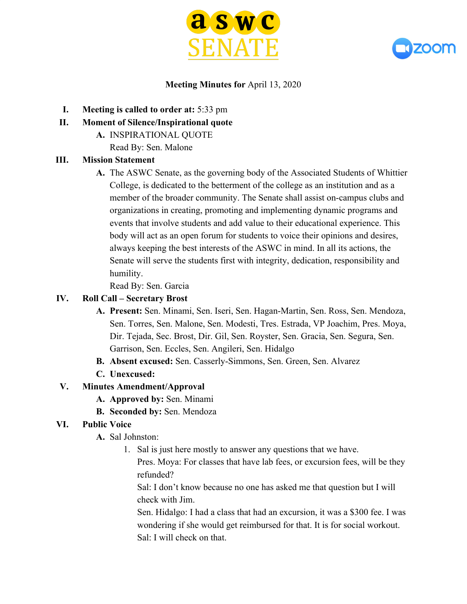



#### **Meeting Minutes for** April 13, 2020

- **I. Meeting is called to order at:** 5:33 pm
- **II. Moment of Silence/Inspirational quote**
	- **A.** INSPIRATIONAL QUOTE
		- Read By: Sen. Malone

### **III. Mission Statement**

**A.** The ASWC Senate, as the governing body of the Associated Students of Whittier College, is dedicated to the betterment of the college as an institution and as a member of the broader community. The Senate shall assist on-campus clubs and organizations in creating, promoting and implementing dynamic programs and events that involve students and add value to their educational experience. This body will act as an open forum for students to voice their opinions and desires, always keeping the best interests of the ASWC in mind. In all its actions, the Senate will serve the students first with integrity, dedication, responsibility and humility.

Read By: Sen. Garcia

#### **IV. Roll Call – Secretary Brost**

- **A. Present:** Sen. Minami, Sen. Iseri, Sen. Hagan-Martin, Sen. Ross, Sen. Mendoza, Sen. Torres, Sen. Malone, Sen. Modesti, Tres. Estrada, VP Joachim, Pres. Moya, Dir. Tejada, Sec. Brost, Dir. Gil, Sen. Royster, Sen. Gracia, Sen. Segura, Sen. Garrison, Sen. Eccles, Sen. Angileri, Sen. Hidalgo
- **B. Absent excused:** Sen. Casserly-Simmons, Sen. Green, Sen. Alvarez
- **C. Unexcused:**

#### **V. Minutes Amendment/Approval**

- **A. Approved by:** Sen. Minami
- **B. Seconded by:** Sen. Mendoza

#### **VI. Public Voice**

- **A.** Sal Johnston:
	- 1. Sal is just here mostly to answer any questions that we have.
		- Pres. Moya: For classes that have lab fees, or excursion fees, will be they refunded?

Sal: I don't know because no one has asked me that question but I will check with Jim.

Sen. Hidalgo: I had a class that had an excursion, it was a \$300 fee. I was wondering if she would get reimbursed for that. It is for social workout. Sal: I will check on that.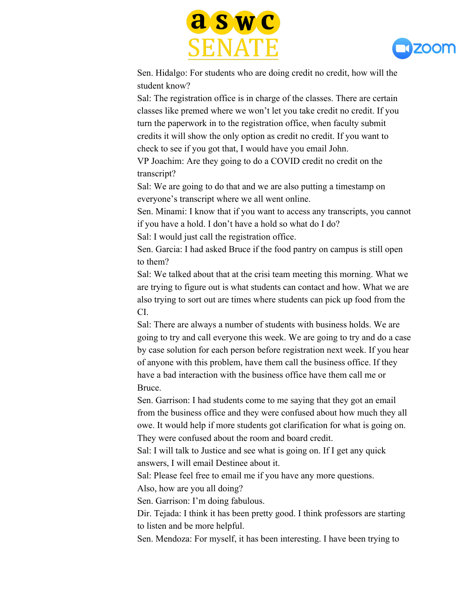



Sen. Hidalgo: For students who are doing credit no credit, how will the student know?

Sal: The registration office is in charge of the classes. There are certain classes like premed where we won't let you take credit no credit. If you turn the paperwork in to the registration office, when faculty submit credits it will show the only option as credit no credit. If you want to check to see if you got that, I would have you email John.

VP Joachim: Are they going to do a COVID credit no credit on the transcript?

Sal: We are going to do that and we are also putting a timestamp on everyone's transcript where we all went online.

Sen. Minami: I know that if you want to access any transcripts, you cannot if you have a hold. I don't have a hold so what do I do?

Sal: I would just call the registration office.

Sen. Garcia: I had asked Bruce if the food pantry on campus is still open to them?

Sal: We talked about that at the crisi team meeting this morning. What we are trying to figure out is what students can contact and how. What we are also trying to sort out are times where students can pick up food from the CI.

Sal: There are always a number of students with business holds. We are going to try and call everyone this week. We are going to try and do a case by case solution for each person before registration next week. If you hear of anyone with this problem, have them call the business office. If they have a bad interaction with the business office have them call me or Bruce.

Sen. Garrison: I had students come to me saying that they got an email from the business office and they were confused about how much they all owe. It would help if more students got clarification for what is going on. They were confused about the room and board credit.

Sal: I will talk to Justice and see what is going on. If I get any quick answers, I will email Destinee about it.

Sal: Please feel free to email me if you have any more questions.

Also, how are you all doing?

Sen. Garrison: I'm doing fabulous.

Dir. Tejada: I think it has been pretty good. I think professors are starting to listen and be more helpful.

Sen. Mendoza: For myself, it has been interesting. I have been trying to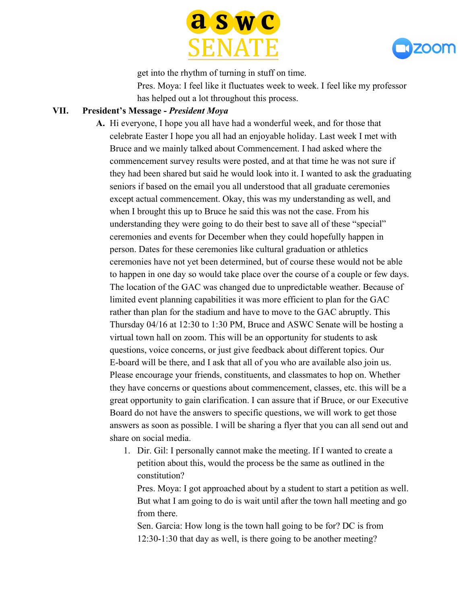



get into the rhythm of turning in stuff on time. Pres. Moya: I feel like it fluctuates week to week. I feel like my professor has helped out a lot throughout this process.

#### **VII. President's Message -** *President Moya*

**A.** Hi everyone, I hope you all have had a wonderful week, and for those that celebrate Easter I hope you all had an enjoyable holiday. Last week I met with Bruce and we mainly talked about Commencement. I had asked where the commencement survey results were posted, and at that time he was not sure if they had been shared but said he would look into it. I wanted to ask the graduating seniors if based on the email you all understood that all graduate ceremonies except actual commencement. Okay, this was my understanding as well, and when I brought this up to Bruce he said this was not the case. From his understanding they were going to do their best to save all of these "special" ceremonies and events for December when they could hopefully happen in person. Dates for these ceremonies like cultural graduation or athletics ceremonies have not yet been determined, but of course these would not be able to happen in one day so would take place over the course of a couple or few days. The location of the GAC was changed due to unpredictable weather. Because of limited event planning capabilities it was more efficient to plan for the GAC rather than plan for the stadium and have to move to the GAC abruptly. This Thursday 04/16 at 12:30 to 1:30 PM, Bruce and ASWC Senate will be hosting a virtual town hall on zoom. This will be an opportunity for students to ask questions, voice concerns, or just give feedback about different topics. Our E-board will be there, and I ask that all of you who are available also join us. Please encourage your friends, constituents, and classmates to hop on. Whether they have concerns or questions about commencement, classes, etc. this will be a great opportunity to gain clarification. I can assure that if Bruce, or our Executive Board do not have the answers to specific questions, we will work to get those answers as soon as possible. I will be sharing a flyer that you can all send out and share on social media.

1. Dir. Gil: I personally cannot make the meeting. If I wanted to create a petition about this, would the process be the same as outlined in the constitution?

Pres. Moya: I got approached about by a student to start a petition as well. But what I am going to do is wait until after the town hall meeting and go from there.

Sen. Garcia: How long is the town hall going to be for? DC is from 12:30-1:30 that day as well, is there going to be another meeting?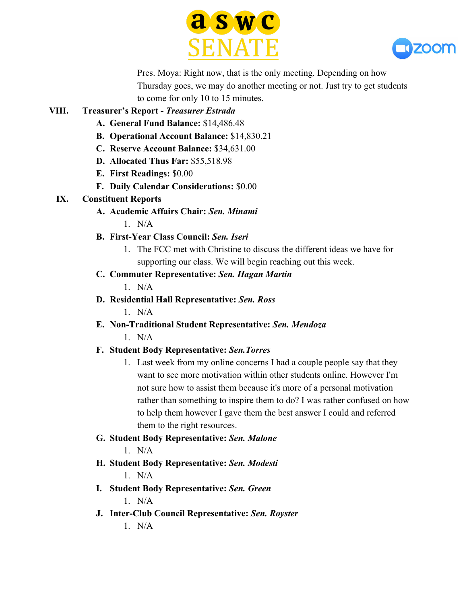



Pres. Moya: Right now, that is the only meeting. Depending on how Thursday goes, we may do another meeting or not. Just try to get students to come for only 10 to 15 minutes.

### **VIII. Treasurer's Report -** *Treasurer Estrada*

- **A. General Fund Balance:** \$14,486.48
- **B. Operational Account Balance:** \$14,830.21
- **C. Reserve Account Balance:** \$34,631.00
- **D. Allocated Thus Far:** \$55,518.98
- **E. First Readings:** \$0.00
- **F. Daily Calendar Considerations:** \$0.00

### **IX. Constituent Reports**

**A. Academic Affairs Chair:** *Sen. Minami*

 $1$  N/A

## **B. First-Year Class Council:** *Sen. Iseri*

1. The FCC met with Christine to discuss the different ideas we have for supporting our class. We will begin reaching out this week.

## **C. Commuter Representative:** *Sen. Hagan Martin*

 $1$  N/A

**D. Residential Hall Representative:** *Sen. Ross*

 $1$  N/A

**E. Non-Traditional Student Representative:** *Sen. Mendoza* 1. N/A

## **F. Student Body Representative:** *Sen.Torres*

1. Last week from my online concerns I had a couple people say that they want to see more motivation within other students online. However I'm not sure how to assist them because it's more of a personal motivation rather than something to inspire them to do? I was rather confused on how to help them however I gave them the best answer I could and referred them to the right resources.

## **G. Student Body Representative:** *Sen. Malone*

1. N/A

**H. Student Body Representative:** *Sen. Modesti*

1. N/A

- **I. Student Body Representative:** *Sen. Green*  $1$  N/A
- **J. Inter-Club Council Representative:** *Sen. Royster*

 $1$  N/A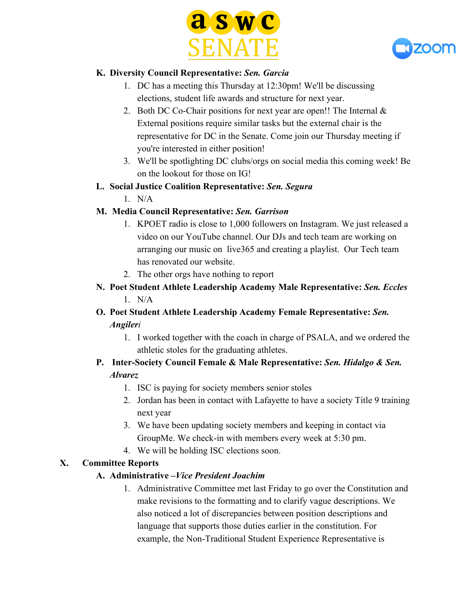



### **K. Diversity Council Representative:** *Sen. Garcia*

- 1. DC has a meeting this Thursday at 12:30pm! We'll be discussing elections, student life awards and structure for next year.
- 2. Both DC Co-Chair positions for next year are open!! The Internal  $\&$ External positions require similar tasks but the external chair is the representative for DC in the Senate. Come join our Thursday meeting if you're interested in either position!
- 3. We'll be spotlighting DC clubs/orgs on social media this coming week! Be on the lookout for those on IG!
- **L. Social Justice Coalition Representative:** *Sen. Segura*
	- 1. N/A

## **M. Media Council Representative:** *Sen. Garrison*

- 1. KPOET radio is close to 1,000 followers on Instagram. We just released a video on our YouTube channel. Our DJs and tech team are working on arranging our music on live365 and creating a playlist. Our Tech team has renovated our website.
- 2. The other orgs have nothing to report
- **N. Poet Student Athlete Leadership Academy Male Representative:** *Sen. Eccles*  $1$  N/A

## **O. Poet Student Athlete Leadership Academy Female Representative:** *Sen. Angileri*

- 1. I worked together with the coach in charge of PSALA, and we ordered the athletic stoles for the graduating athletes.
- **P. Inter-Society Council Female & Male Representative:** *Sen. Hidalgo & Sen. Alvarez*
	- 1. ISC is paying for society members senior stoles
	- 2. Jordan has been in contact with Lafayette to have a society Title 9 training next year
	- 3. We have been updating society members and keeping in contact via GroupMe. We check-in with members every week at 5:30 pm.
	- 4. We will be holding ISC elections soon.

## **X. Committee Reports**

## **A. Administrative –***Vice President Joachim*

1. Administrative Committee met last Friday to go over the Constitution and make revisions to the formatting and to clarify vague descriptions. We also noticed a lot of discrepancies between position descriptions and language that supports those duties earlier in the constitution. For example, the Non-Traditional Student Experience Representative is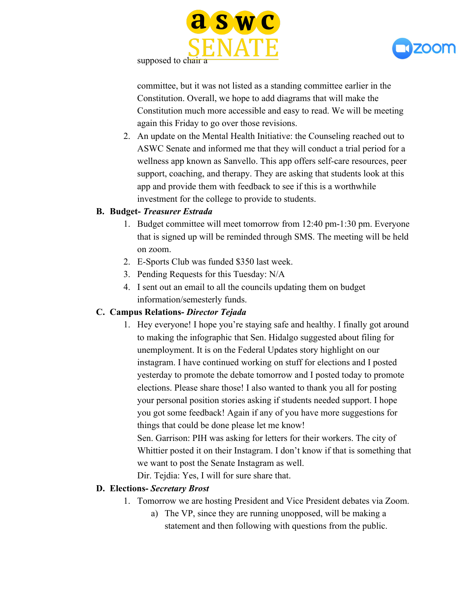



supposed to chair a

committee, but it was not listed as a standing committee earlier in the Constitution. Overall, we hope to add diagrams that will make the Constitution much more accessible and easy to read. We will be meeting again this Friday to go over those revisions.

2. An update on the Mental Health Initiative: the Counseling reached out to ASWC Senate and informed me that they will conduct a trial period for a wellness app known as Sanvello. This app offers self-care resources, peer support, coaching, and therapy. They are asking that students look at this app and provide them with feedback to see if this is a worthwhile investment for the college to provide to students.

#### **B. Budget-** *Treasurer Estrada*

- 1. Budget committee will meet tomorrow from 12:40 pm-1:30 pm. Everyone that is signed up will be reminded through SMS. The meeting will be held on zoom.
- 2. E-Sports Club was funded \$350 last week.
- 3. Pending Requests for this Tuesday: N/A
- 4. I sent out an email to all the councils updating them on budget information/semesterly funds.

#### **C. Campus Relations-** *Director Tejada*

1. Hey everyone! I hope you're staying safe and healthy. I finally got around to making the infographic that Sen. Hidalgo suggested about filing for unemployment. It is on the Federal Updates story highlight on our instagram. I have continued working on stuff for elections and I posted yesterday to promote the debate tomorrow and I posted today to promote elections. Please share those! I also wanted to thank you all for posting your personal position stories asking if students needed support. I hope you got some feedback! Again if any of you have more suggestions for things that could be done please let me know!

Sen. Garrison: PIH was asking for letters for their workers. The city of Whittier posted it on their Instagram. I don't know if that is something that we want to post the Senate Instagram as well.

Dir. Tejdia: Yes, I will for sure share that.

#### **D. Elections-** *Secretary Brost*

- 1. Tomorrow we are hosting President and Vice President debates via Zoom.
	- a) The VP, since they are running unopposed, will be making a statement and then following with questions from the public.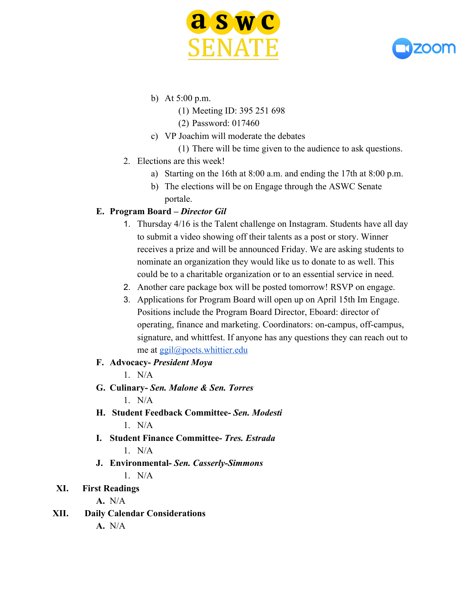



- b) At 5:00 p.m.
	- (1) Meeting ID: 395 251 698
	- (2) Password: 017460
- c) VP Joachim will moderate the debates

(1) There will be time given to the audience to ask questions.

- 2. Elections are this week!
	- a) Starting on the 16th at 8:00 a.m. and ending the 17th at 8:00 p.m.
	- b) The elections will be on Engage through the ASWC Senate portale.

### **E. Program Board –** *Director Gil*

- 1. Thursday 4/16 is the Talent challenge on Instagram. Students have all day to submit a video showing off their talents as a post or story. Winner receives a prize and will be announced Friday. We are asking students to nominate an organization they would like us to donate to as well. This could be to a charitable organization or to an essential service in need.
- 2. Another care package box will be posted tomorrow! RSVP on engage.
- 3. Applications for Program Board will open up on April 15th Im Engage. Positions include the Program Board Director, Eboard: director of operating, finance and marketing. Coordinators: on-campus, off-campus, signature, and whittfest. If anyone has any questions they can reach out to me at [ggil@poets.whittier.edu](mailto:ggil@poets.whittier.edu)

#### **F. Advocacy-** *President Moya*

- $1$  N/A
- **G. Culinary-** *Sen. Malone & Sen. Torres*  $1$  N/A
- **H. Student Feedback Committee-** *Sen. Modesti*  $1$  N/A
- **I. Student Finance Committee-** *Tres. Estrada* 1. N/A
- **J. Environmental-** *Sen. Casserly-Simmons* 1. N/A

## **XI. First Readings**

**A.** N/A

- **XII. Daily Calendar Considerations**
	- **A.** N/A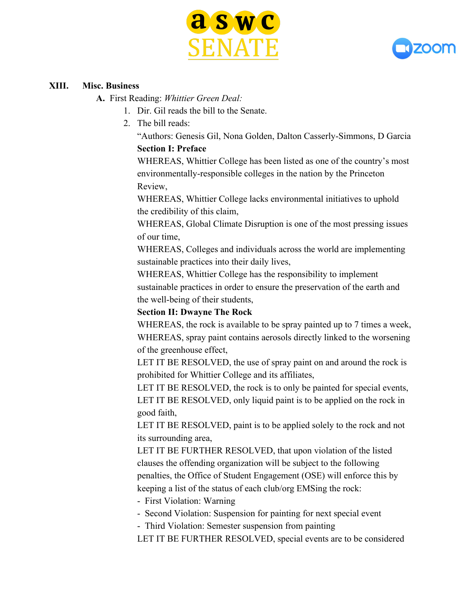



#### **XIII. Misc. Business**

**A.** First Reading: *Whittier Green Deal:*

- 1. Dir. Gil reads the bill to the Senate.
- 2. The bill reads:

"Authors: Genesis Gil, Nona Golden, Dalton Casserly-Simmons, D Garcia **Section I: Preface**

WHEREAS, Whittier College has been listed as one of the country's most environmentally-responsible colleges in the nation by the Princeton Review,

WHEREAS, Whittier College lacks environmental initiatives to uphold the credibility of this claim,

WHEREAS, Global Climate Disruption is one of the most pressing issues of our time,

WHEREAS, Colleges and individuals across the world are implementing sustainable practices into their daily lives,

WHEREAS, Whittier College has the responsibility to implement sustainable practices in order to ensure the preservation of the earth and the well-being of their students,

#### **Section II: Dwayne The Rock**

WHEREAS, the rock is available to be spray painted up to 7 times a week, WHEREAS, spray paint contains aerosols directly linked to the worsening of the greenhouse effect,

LET IT BE RESOLVED, the use of spray paint on and around the rock is prohibited for Whittier College and its affiliates,

LET IT BE RESOLVED, the rock is to only be painted for special events, LET IT BE RESOLVED, only liquid paint is to be applied on the rock in good faith,

LET IT BE RESOLVED, paint is to be applied solely to the rock and not its surrounding area,

LET IT BE FURTHER RESOLVED, that upon violation of the listed clauses the offending organization will be subject to the following penalties, the Office of Student Engagement (OSE) will enforce this by keeping a list of the status of each club/org EMSing the rock:

- First Violation: Warning

- Second Violation: Suspension for painting for next special event

- Third Violation: Semester suspension from painting

LET IT BE FURTHER RESOLVED, special events are to be considered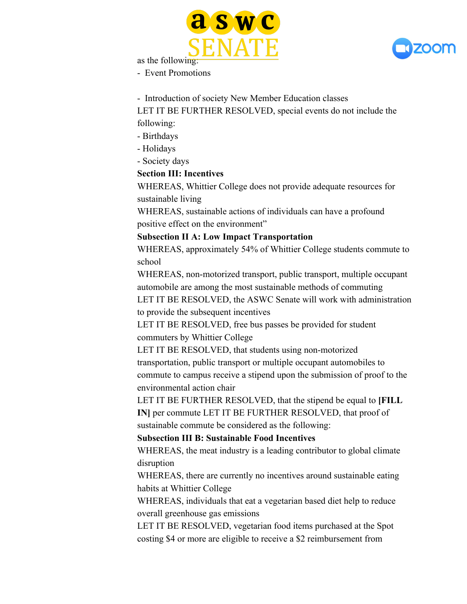



as the following:

- Event Promotions

- Introduction of society New Member Education classes

LET IT BE FURTHER RESOLVED, special events do not include the following:

- Birthdays
- Holidays

- Society days

#### **Section III: Incentives**

WHEREAS, Whittier College does not provide adequate resources for sustainable living

WHEREAS, sustainable actions of individuals can have a profound positive effect on the environment"

#### **Subsection II A: Low Impact Transportation**

WHEREAS, approximately 54% of Whittier College students commute to school

WHEREAS, non-motorized transport, public transport, multiple occupant automobile are among the most sustainable methods of commuting

LET IT BE RESOLVED, the ASWC Senate will work with administration to provide the subsequent incentives

LET IT BE RESOLVED, free bus passes be provided for student commuters by Whittier College

LET IT BE RESOLVED, that students using non-motorized

transportation, public transport or multiple occupant automobiles to commute to campus receive a stipend upon the submission of proof to the environmental action chair

LET IT BE FURTHER RESOLVED, that the stipend be equal to **[FILL IN]** per commute LET IT BE FURTHER RESOLVED, that proof of

sustainable commute be considered as the following:

#### **Subsection III B: Sustainable Food Incentives**

WHEREAS, the meat industry is a leading contributor to global climate disruption

WHEREAS, there are currently no incentives around sustainable eating habits at Whittier College

WHEREAS, individuals that eat a vegetarian based diet help to reduce overall greenhouse gas emissions

LET IT BE RESOLVED, vegetarian food items purchased at the Spot costing \$4 or more are eligible to receive a \$2 reimbursement from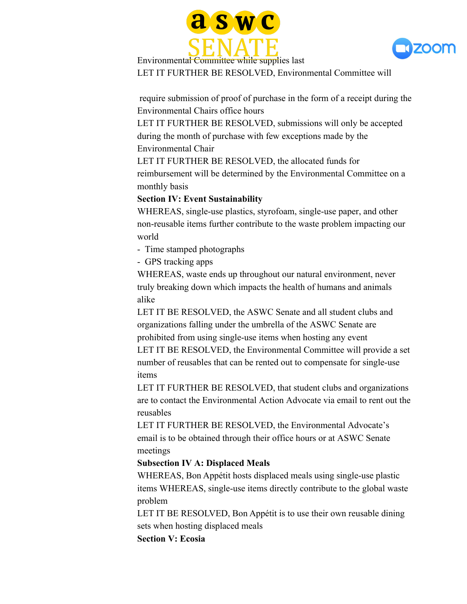



Environmental Committee while supplies last LET IT FURTHER BE RESOLVED, Environmental Committee will

 require submission of proof of purchase in the form of a receipt during the Environmental Chairs office hours

LET IT FURTHER BE RESOLVED, submissions will only be accepted during the month of purchase with few exceptions made by the Environmental Chair

LET IT FURTHER BE RESOLVED, the allocated funds for reimbursement will be determined by the Environmental Committee on a monthly basis

#### **Section IV: Event Sustainability**

WHEREAS, single-use plastics, styrofoam, single-use paper, and other non-reusable items further contribute to the waste problem impacting our world

- Time stamped photographs
- GPS tracking apps

WHEREAS, waste ends up throughout our natural environment, never truly breaking down which impacts the health of humans and animals alike

LET IT BE RESOLVED, the ASWC Senate and all student clubs and organizations falling under the umbrella of the ASWC Senate are prohibited from using single-use items when hosting any event LET IT BE RESOLVED, the Environmental Committee will provide a set number of reusables that can be rented out to compensate for single-use items

LET IT FURTHER BE RESOLVED, that student clubs and organizations are to contact the Environmental Action Advocate via email to rent out the reusables

LET IT FURTHER BE RESOLVED, the Environmental Advocate's email is to be obtained through their office hours or at ASWC Senate meetings

#### **Subsection IV A: Displaced Meals**

WHEREAS, Bon Appétit hosts displaced meals using single-use plastic items WHEREAS, single-use items directly contribute to the global waste problem

LET IT BE RESOLVED, Bon Appétit is to use their own reusable dining sets when hosting displaced meals

**Section V: Ecosia**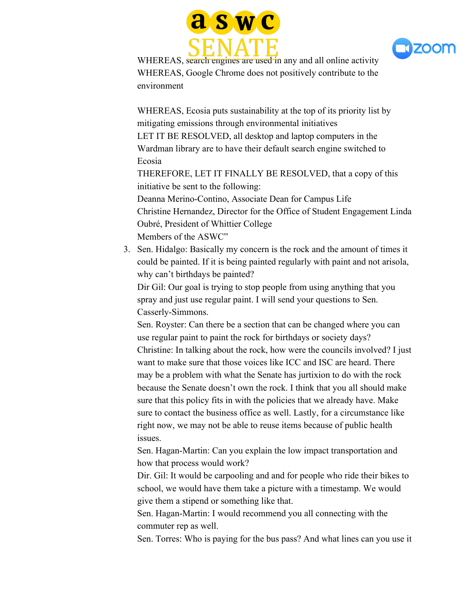



WHEREAS, search engines are used in any and all online activity WHEREAS, Google Chrome does not positively contribute to the environment

WHEREAS, Ecosia puts sustainability at the top of its priority list by mitigating emissions through environmental initiatives LET IT BE RESOLVED, all desktop and laptop computers in the

Wardman library are to have their default search engine switched to Ecosia

THEREFORE, LET IT FINALLY BE RESOLVED, that a copy of this initiative be sent to the following:

Deanna Merino-Contino, Associate Dean for Campus Life Christine Hernandez, Director for the Office of Student Engagement Linda Oubré, President of Whittier College Members of the ASWC"

3. Sen. Hidalgo: Basically my concern is the rock and the amount of times it could be painted. If it is being painted regularly with paint and not arisola, why can't birthdays be painted?

Dir Gil: Our goal is trying to stop people from using anything that you spray and just use regular paint. I will send your questions to Sen. Casserly-Simmons.

Sen. Royster: Can there be a section that can be changed where you can use regular paint to paint the rock for birthdays or society days? Christine: In talking about the rock, how were the councils involved? I just want to make sure that those voices like ICC and ISC are heard. There may be a problem with what the Senate has jurtixion to do with the rock because the Senate doesn't own the rock. I think that you all should make sure that this policy fits in with the policies that we already have. Make sure to contact the business office as well. Lastly, for a circumstance like right now, we may not be able to reuse items because of public health issues.

Sen. Hagan-Martin: Can you explain the low impact transportation and how that process would work?

Dir. Gil: It would be carpooling and and for people who ride their bikes to school, we would have them take a picture with a timestamp. We would give them a stipend or something like that.

Sen. Hagan-Martin: I would recommend you all connecting with the commuter rep as well.

Sen. Torres: Who is paying for the bus pass? And what lines can you use it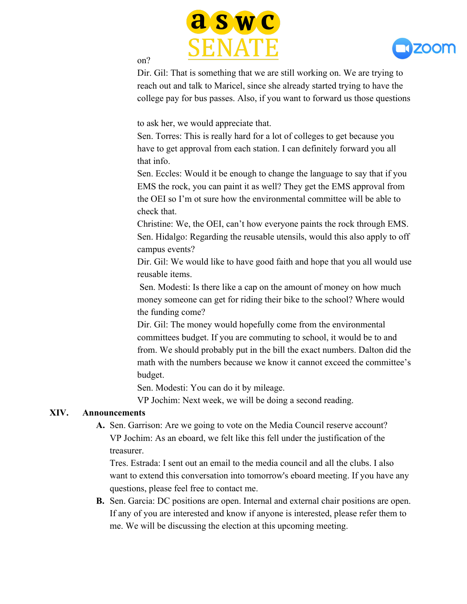



#### on?

Dir. Gil: That is something that we are still working on. We are trying to reach out and talk to Maricel, since she already started trying to have the college pay for bus passes. Also, if you want to forward us those questions

to ask her, we would appreciate that.

Sen. Torres: This is really hard for a lot of colleges to get because you have to get approval from each station. I can definitely forward you all that info.

Sen. Eccles: Would it be enough to change the language to say that if you EMS the rock, you can paint it as well? They get the EMS approval from the OEI so I'm ot sure how the environmental committee will be able to check that.

Christine: We, the OEI, can't how everyone paints the rock through EMS. Sen. Hidalgo: Regarding the reusable utensils, would this also apply to off campus events?

Dir. Gil: We would like to have good faith and hope that you all would use reusable items.

 Sen. Modesti: Is there like a cap on the amount of money on how much money someone can get for riding their bike to the school? Where would the funding come?

Dir. Gil: The money would hopefully come from the environmental committees budget. If you are commuting to school, it would be to and from. We should probably put in the bill the exact numbers. Dalton did the math with the numbers because we know it cannot exceed the committee's budget.

Sen. Modesti: You can do it by mileage.

VP Jochim: Next week, we will be doing a second reading.

#### **XIV. Announcements**

**A.** Sen. Garrison: Are we going to vote on the Media Council reserve account? VP Jochim: As an eboard, we felt like this fell under the justification of the treasurer.

Tres. Estrada: I sent out an email to the media council and all the clubs. I also want to extend this conversation into tomorrow's eboard meeting. If you have any questions, please feel free to contact me.

**B.** Sen. Garcia: DC positions are open. Internal and external chair positions are open. If any of you are interested and know if anyone is interested, please refer them to me. We will be discussing the election at this upcoming meeting.